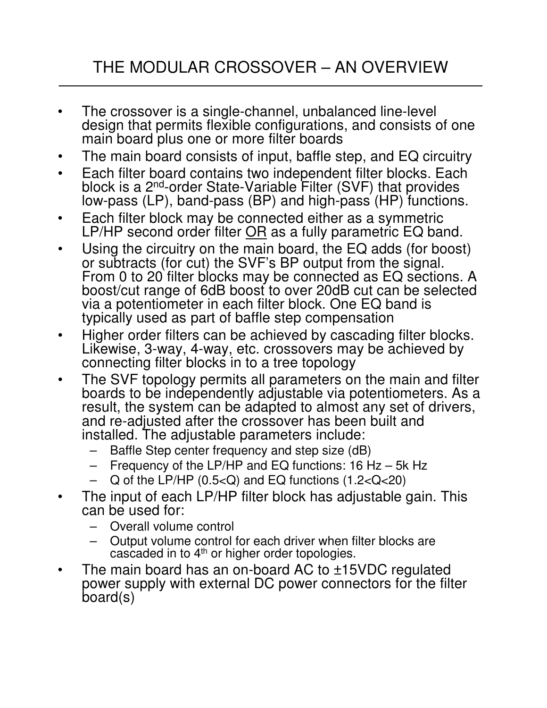# THE MODULAR CROSSOVER – AN OVERVIEW

- The crossover is a single-channel, unbalanced line-level design that permits flexible configurations, and consists of one main board plus one or more filter boards
- The main board consists of input, baffle step, and EQ circuitry
- Each filter board contains two independent filter blocks. Each block is a 2<sup>nd</sup>-order State-Variable Filter (SVF) that provides low-pass (LP), band-pass (BP) and high-pass (HP) functions.
- Each filter block may be connected either as a symmetric LP/HP second order filter OR as a fully parametric EQ band.
- Using the circuitry on the main board, the EQ adds (for boost) or subtracts (for cut) the SVF's BP output from the signal. From 0 to 20 filter blocks may be connected as EQ sections. A boost/cut range of 6dB boost to over 20dB cut can be selected via a potentiometer in each filter block. One EQ band is typically used as part of baffle step compensation
- Higher order filters can be achieved by cascading filter blocks. Likewise, 3-way, 4-way, etc. crossovers may be achieved by connecting filter blocks in to a tree topology
- The SVF topology permits all parameters on the main and filter boards to be independently adjustable via potentiometers. As a result, the system can be adapted to almost any set of drivers, and re-adjusted after the crossover has been built and installed. The adjustable parameters include:
	- Baffle Step center frequency and step size (dB)
	- Frequency of the LP/HP and EQ functions:  $16$  Hz 5k Hz
	- $Q$  of the LP/HP (0.5< $Q$ ) and EQ functions (1.2< $Q$ <20)
- The input of each LP/HP filter block has adjustable gain. This can be used for:
	- Overall volume control
	- Output volume control for each driver when filter blocks are cascaded in to 4<sup>th</sup> or higher order topologies.
- The main board has an on-board AC to ±15VDC regulated power supply with external DC power connectors for the filter board(s)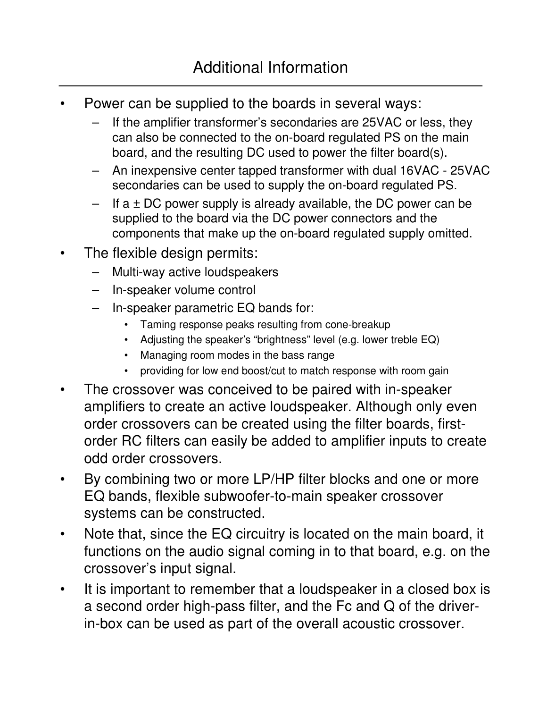- Power can be supplied to the boards in several ways:
	- If the amplifier transformer's secondaries are 25VAC or less, they can also be connected to the on-board regulated PS on the main board, and the resulting DC used to power the filter board(s).
	- An inexpensive center tapped transformer with dual 16VAC 25VAC secondaries can be used to supply the on-board regulated PS.
	- If  $a \pm DC$  power supply is already available, the DC power can be supplied to the board via the DC power connectors and the components that make up the on-board regulated supply omitted.
- The flexible design permits:
	- Multi-way active loudspeakers
	- In-speaker volume control
	- In-speaker parametric EQ bands for:
		- Taming response peaks resulting from cone-breakup
		- Adjusting the speaker's "brightness" level (e.g. lower treble EQ)
		- Managing room modes in the bass range
		- providing for low end boost/cut to match response with room gain
- The crossover was conceived to be paired with in-speaker amplifiers to create an active loudspeaker. Although only even order crossovers can be created using the filter boards, firstorder RC filters can easily be added to amplifier inputs to create odd order crossovers.
- By combining two or more LP/HP filter blocks and one or more EQ bands, flexible subwoofer-to-main speaker crossover systems can be constructed.
- Note that, since the EQ circuitry is located on the main board, it functions on the audio signal coming in to that board, e.g. on the crossover's input signal.
- It is important to remember that a loudspeaker in a closed box is a second order high-pass filter, and the Fc and Q of the driverin-box can be used as part of the overall acoustic crossover.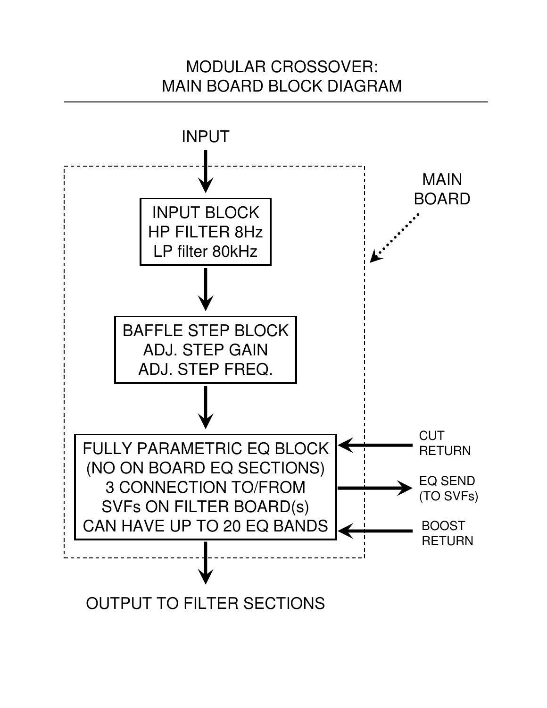# MODULAR CROSSOVER: MAIN BOARD BLOCK DIAGRAM

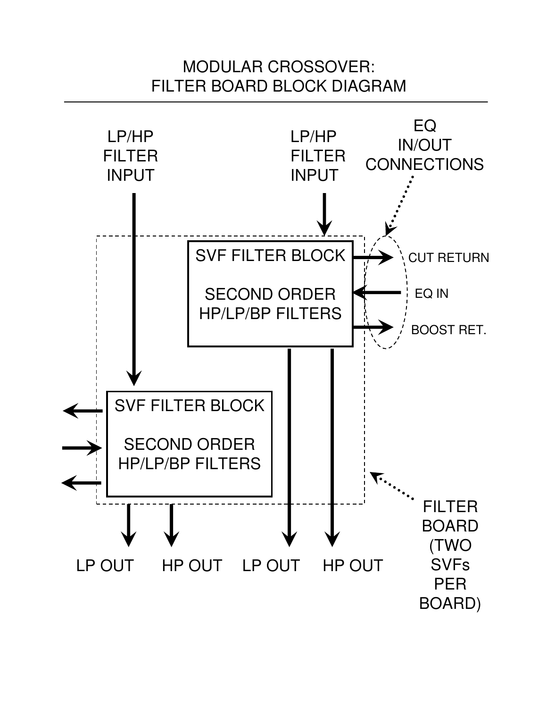# MODULAR CROSSOVER: FILTER BOARD BLOCK DIAGRAM

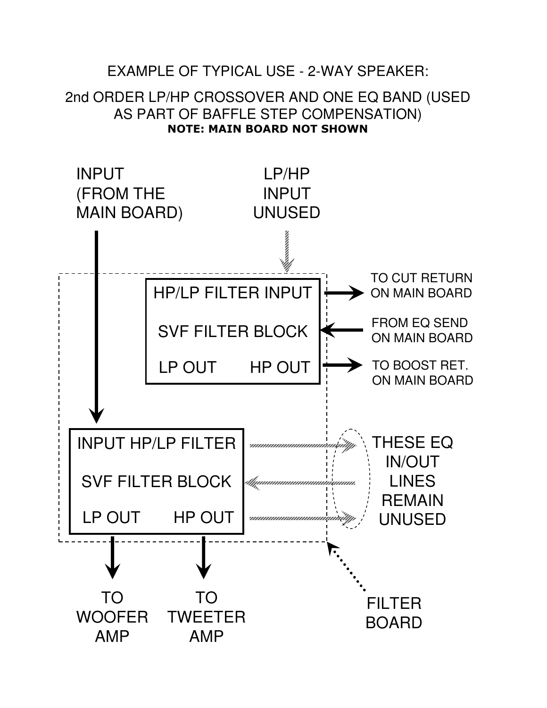## EXAMPLE OF TYPICAL USE - 2-WAY SPEAKER:

### 2nd ORDER LP/HP CROSSOVER AND ONE EQ BAND (USED AS PART OF BAFFLE STEP COMPENSATION) NOTE: MAIN BOARD NOT SHOWN

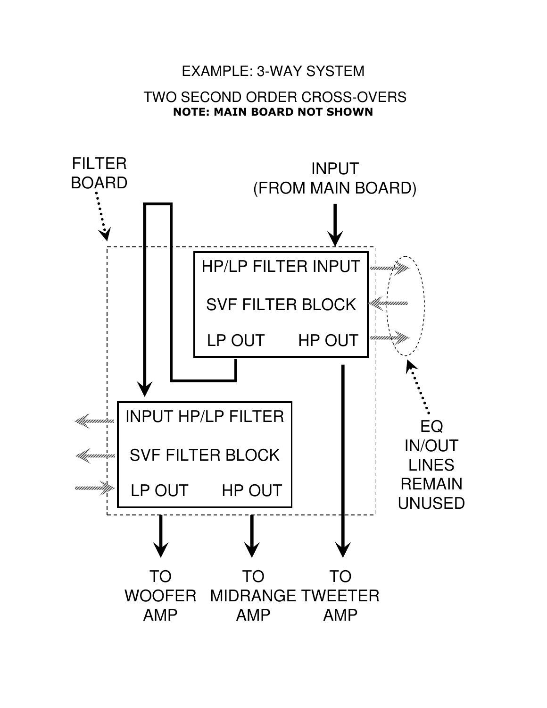### EXAMPLE: 3-WAY SYSTEM

#### TWO SECOND ORDER CROSS-OVERS NOTE: MAIN BOARD NOT SHOWN

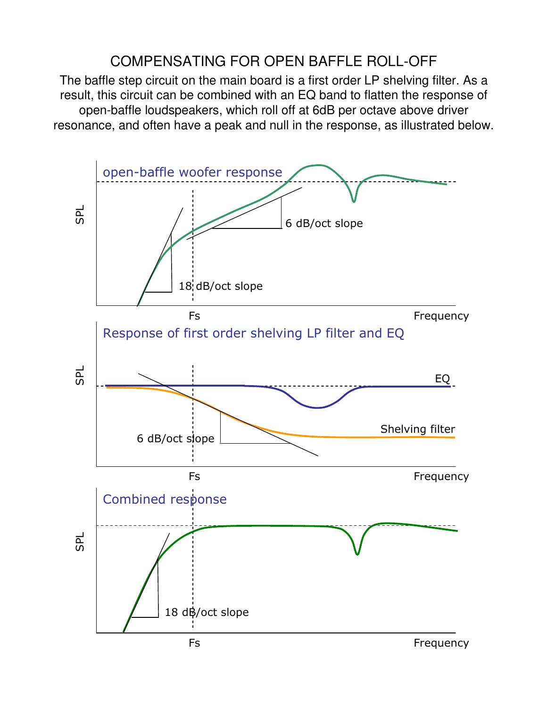## COMPENSATING FOR OPEN BAFFLE ROLL-OFF

The baffle step circuit on the main board is a first order LP shelving filter. As a result, this circuit can be combined with an EQ band to flatten the response of open-baffle loudspeakers, which roll off at 6dB per octave above driver resonance, and often have a peak and null in the response, as illustrated below.

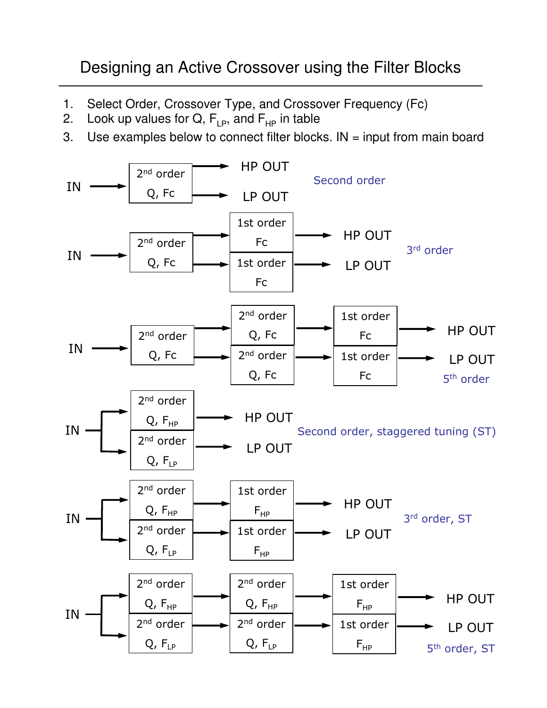# Designing an Active Crossover using the Filter Blocks

- 1. Select Order, Crossover Type, and Crossover Frequency (Fc)
- 2. Look up values for  $Q$ ,  $F_{LP}$ , and  $F_{HP}$  in table
- 3. Use examples below to connect filter blocks. IN = input from main board

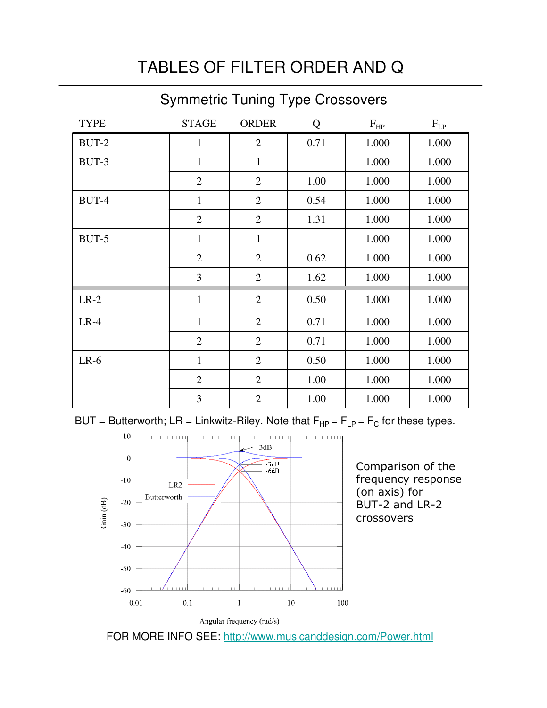# TABLES OF FILTER ORDER AND Q

## Symmetric Tuning Type Crossovers

| <b>TYPE</b> | <b>STAGE</b>   | <b>ORDER</b>   | Q    | $F_{HP}$ | $\mathbf{F}_{\text{LP}}$ |
|-------------|----------------|----------------|------|----------|--------------------------|
| BUT-2       | $\mathbf{1}$   | $\overline{2}$ | 0.71 | 1.000    | 1.000                    |
| BUT-3       | $\mathbf{1}$   | $\mathbf{1}$   |      | 1.000    | 1.000                    |
|             | $\mathbf{2}$   | $\overline{2}$ | 1.00 | 1.000    | 1.000                    |
| BUT-4       | $\mathbf{1}$   | $\overline{2}$ | 0.54 | 1.000    | 1.000                    |
|             | $\overline{2}$ | $\overline{2}$ | 1.31 | 1.000    | 1.000                    |
| BUT-5       | $\mathbf{1}$   | $\mathbf{1}$   |      | 1.000    | 1.000                    |
|             | $\overline{2}$ | $\overline{2}$ | 0.62 | 1.000    | 1.000                    |
|             | 3              | $\overline{2}$ | 1.62 | 1.000    | 1.000                    |
| $LR-2$      | $\mathbf{1}$   | $\overline{2}$ | 0.50 | 1.000    | 1.000                    |
| $LR-4$      | $\mathbf{1}$   | $\overline{2}$ | 0.71 | 1.000    | 1.000                    |
|             | $\mathbf{2}$   | $\overline{2}$ | 0.71 | 1.000    | 1.000                    |
| $LR-6$      | $\mathbf{1}$   | $\overline{2}$ | 0.50 | 1.000    | 1.000                    |
|             | $\overline{2}$ | $\overline{2}$ | 1.00 | 1.000    | 1.000                    |
|             | 3              | $\overline{2}$ | 1.00 | 1.000    | 1.000                    |

BUT = Butterworth; LR = Linkwitz-Riley. Note that  $\mathsf{F}_{\mathsf{HP}}$  =  $\mathsf{F}_{\mathsf{LP}}$  =  $\mathsf{F}_{\mathsf{C}}$  for these types.



Comparison of the frequency response (on axis) for BUT-2 and LR-2 crossovers

FOR MORE INFO SEE: http://www.musicanddesign.com/Power.html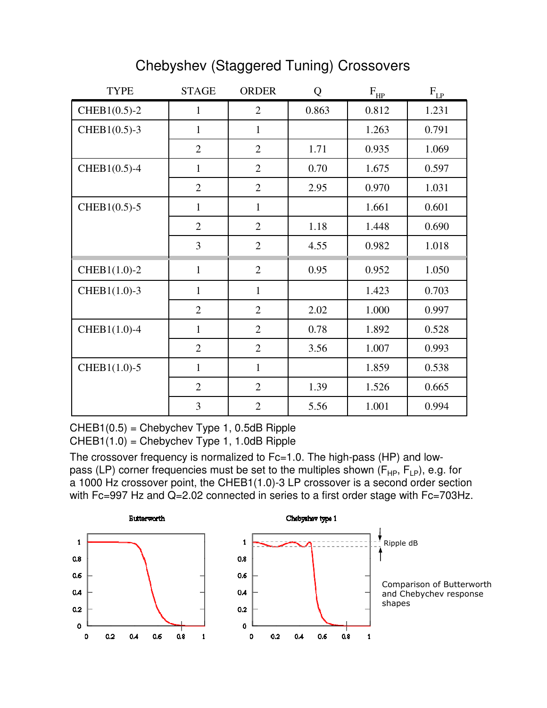## Chebyshev (Staggered Tuning) Crossovers

| <b>TYPE</b>      | <b>STAGE</b>   | <b>ORDER</b>   | Q     | $F_{HP}$ | $F_{LP}$ |
|------------------|----------------|----------------|-------|----------|----------|
| $CHEB1(0.5)-2$   | $\mathbf{1}$   | $\overline{2}$ | 0.863 | 0.812    | 1.231    |
| $CHEB1(0.5)-3$   | $\mathbf{1}$   | $\mathbf{1}$   |       | 1.263    | 0.791    |
|                  | $\overline{2}$ | $\overline{2}$ | 1.71  | 0.935    | 1.069    |
| $CHEB1(0.5)-4$   | $\mathbf{1}$   | $\overline{2}$ | 0.70  | 1.675    | 0.597    |
|                  | $\overline{2}$ | $\overline{2}$ | 2.95  | 0.970    | 1.031    |
| $CHEB1(0.5) - 5$ | $\mathbf{1}$   | $\mathbf{1}$   |       | 1.661    | 0.601    |
|                  | $\overline{2}$ | $\overline{2}$ | 1.18  | 1.448    | 0.690    |
|                  | $\overline{3}$ | $\overline{2}$ | 4.55  | 0.982    | 1.018    |
| CHEB1(1.0)-2     | $\mathbf{1}$   | $\overline{2}$ | 0.95  | 0.952    | 1.050    |
| CHEB1(1.0)-3     | $\mathbf{1}$   | $\mathbf{1}$   |       | 1.423    | 0.703    |
|                  | $\overline{2}$ | $\overline{2}$ | 2.02  | 1.000    | 0.997    |
| CHEB1(1.0)-4     | $\mathbf{1}$   | $\overline{2}$ | 0.78  | 1.892    | 0.528    |
|                  | $\overline{2}$ | $\overline{2}$ | 3.56  | 1.007    | 0.993    |
| $CHEB1(1.0)-5$   | $\mathbf{1}$   | $\mathbf{1}$   |       | 1.859    | 0.538    |
|                  | $\overline{2}$ | $\overline{2}$ | 1.39  | 1.526    | 0.665    |
|                  | 3              | $\overline{2}$ | 5.56  | 1.001    | 0.994    |

 $CHEB1(0.5) = Chebychev Type 1, 0.5dB Ripple$ CHEB1(1.0) = Chebychev Type 1, 1.0dB Ripple

The crossover frequency is normalized to Fc=1.0. The high-pass (HP) and lowpass (LP) corner frequencies must be set to the multiples shown ( $F_{HP}$ ,  $F_{LP}$ ), e.g. for a 1000 Hz crossover point, the CHEB1(1.0)-3 LP crossover is a second order section with Fc=997 Hz and Q=2.02 connected in series to a first order stage with Fc=703Hz.